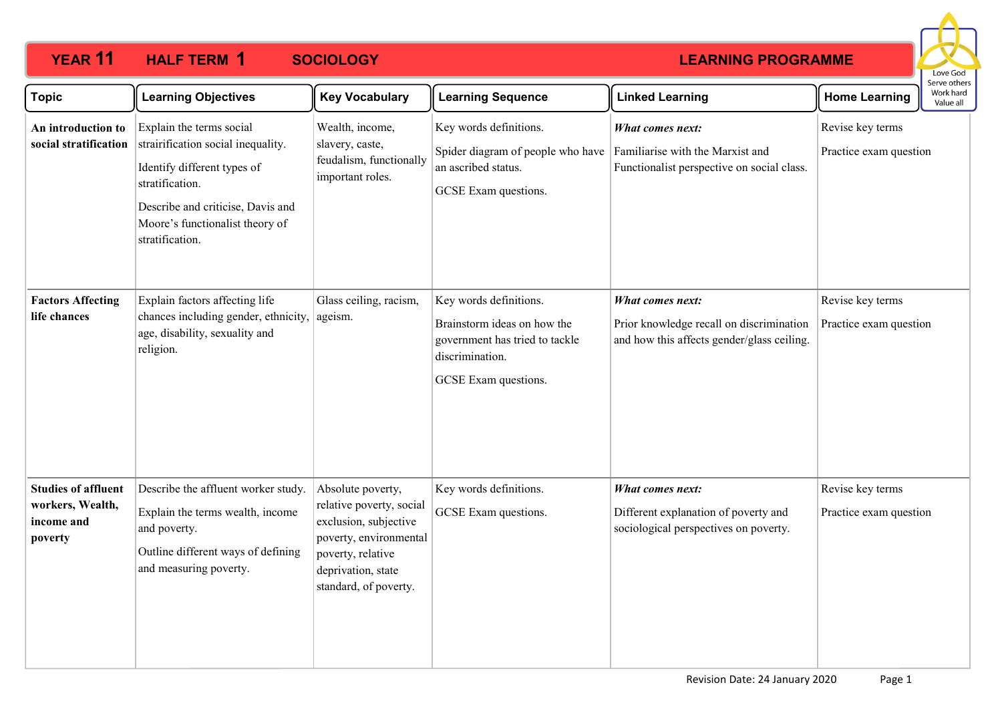

| <b>Topic</b>                                                            | <b>Learning Objectives</b>                                                                                                                                                                                  | <b>Key Vocabulary</b>                                                                                                                                                | <b>Learning Sequence</b>                                                                                                           | <b>Linked Learning</b>                                                                                            | <b>Home Learning</b>                       | Serve others<br>Work hard<br>Value all |
|-------------------------------------------------------------------------|-------------------------------------------------------------------------------------------------------------------------------------------------------------------------------------------------------------|----------------------------------------------------------------------------------------------------------------------------------------------------------------------|------------------------------------------------------------------------------------------------------------------------------------|-------------------------------------------------------------------------------------------------------------------|--------------------------------------------|----------------------------------------|
| An introduction to<br>social stratification                             | Explain the terms social<br>strairification social inequality.<br>Identify different types of<br>stratification.<br>Describe and criticise, Davis and<br>Moore's functionalist theory of<br>stratification. | Wealth, income,<br>slavery, caste,<br>feudalism, functionally<br>important roles.                                                                                    | Key words definitions.<br>Spider diagram of people who have<br>an ascribed status.<br>GCSE Exam questions.                         | <b>What comes next:</b><br>Familiarise with the Marxist and<br>Functionalist perspective on social class.         | Revise key terms<br>Practice exam question |                                        |
| <b>Factors Affecting</b><br>life chances                                | Explain factors affecting life<br>chances including gender, ethnicity,<br>age, disability, sexuality and<br>religion.                                                                                       | Glass ceiling, racism,<br>ageism.                                                                                                                                    | Key words definitions.<br>Brainstorm ideas on how the<br>government has tried to tackle<br>discrimination.<br>GCSE Exam questions. | <b>What comes next:</b><br>Prior knowledge recall on discrimination<br>and how this affects gender/glass ceiling. | Revise key terms<br>Practice exam question |                                        |
| <b>Studies of affluent</b><br>workers, Wealth,<br>income and<br>poverty | Describe the affluent worker study.<br>Explain the terms wealth, income<br>and poverty.<br>Outline different ways of defining<br>and measuring poverty.                                                     | Absolute poverty,<br>relative poverty, social<br>exclusion, subjective<br>poverty, environmental<br>poverty, relative<br>deprivation, state<br>standard, of poverty. | Key words definitions.<br>GCSE Exam questions.                                                                                     | <b>What comes next:</b><br>Different explanation of poverty and<br>sociological perspectives on poverty.          | Revise key terms<br>Practice exam question |                                        |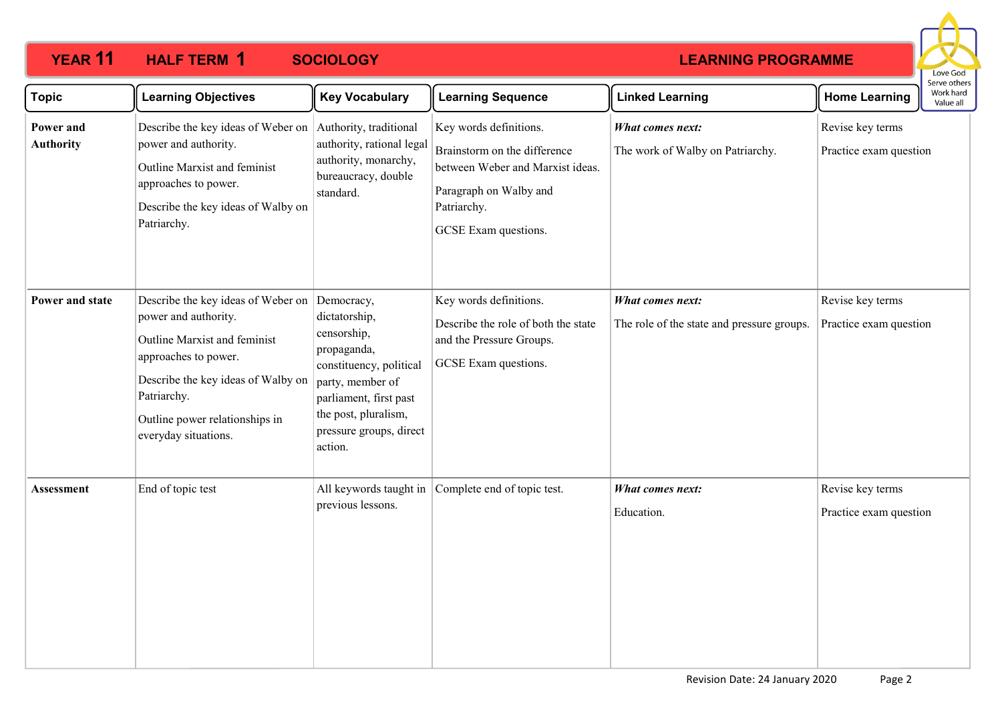

| <b>Topic</b>                  | <b>Learning Objectives</b>                                                                                                                                                                                                        | <b>Key Vocabulary</b>                                                                                                                                                                            | <b>Learning Sequence</b>                                                                                                                                    | <b>Linked Learning</b>                                         | <b>Home Learning</b>                       | בו אב התוכו א<br>Work hard<br>Value all |
|-------------------------------|-----------------------------------------------------------------------------------------------------------------------------------------------------------------------------------------------------------------------------------|--------------------------------------------------------------------------------------------------------------------------------------------------------------------------------------------------|-------------------------------------------------------------------------------------------------------------------------------------------------------------|----------------------------------------------------------------|--------------------------------------------|-----------------------------------------|
| Power and<br><b>Authority</b> | Describe the key ideas of Weber on<br>power and authority.<br>Outline Marxist and feminist<br>approaches to power.<br>Describe the key ideas of Walby on<br>Patriarchy.                                                           | Authority, traditional<br>authority, rational legal<br>authority, monarchy,<br>bureaucracy, double<br>standard.                                                                                  | Key words definitions.<br>Brainstorm on the difference<br>between Weber and Marxist ideas.<br>Paragraph on Walby and<br>Patriarchy.<br>GCSE Exam questions. | What comes next:<br>The work of Walby on Patriarchy.           | Revise key terms<br>Practice exam question |                                         |
| Power and state               | Describe the key ideas of Weber on<br>power and authority.<br>Outline Marxist and feminist<br>approaches to power.<br>Describe the key ideas of Walby on<br>Patriarchy.<br>Outline power relationships in<br>everyday situations. | Democracy,<br>dictatorship,<br>censorship,<br>propaganda,<br>constituency, political<br>party, member of<br>parliament, first past<br>the post, pluralism,<br>pressure groups, direct<br>action. | Key words definitions.<br>Describe the role of both the state<br>and the Pressure Groups.<br>GCSE Exam questions.                                           | What comes next:<br>The role of the state and pressure groups. | Revise key terms<br>Practice exam question |                                         |
| Assessment                    | End of topic test                                                                                                                                                                                                                 | previous lessons.                                                                                                                                                                                | All keywords taught in Complete end of topic test.                                                                                                          | <b>What comes next:</b><br>Education.                          | Revise key terms<br>Practice exam question |                                         |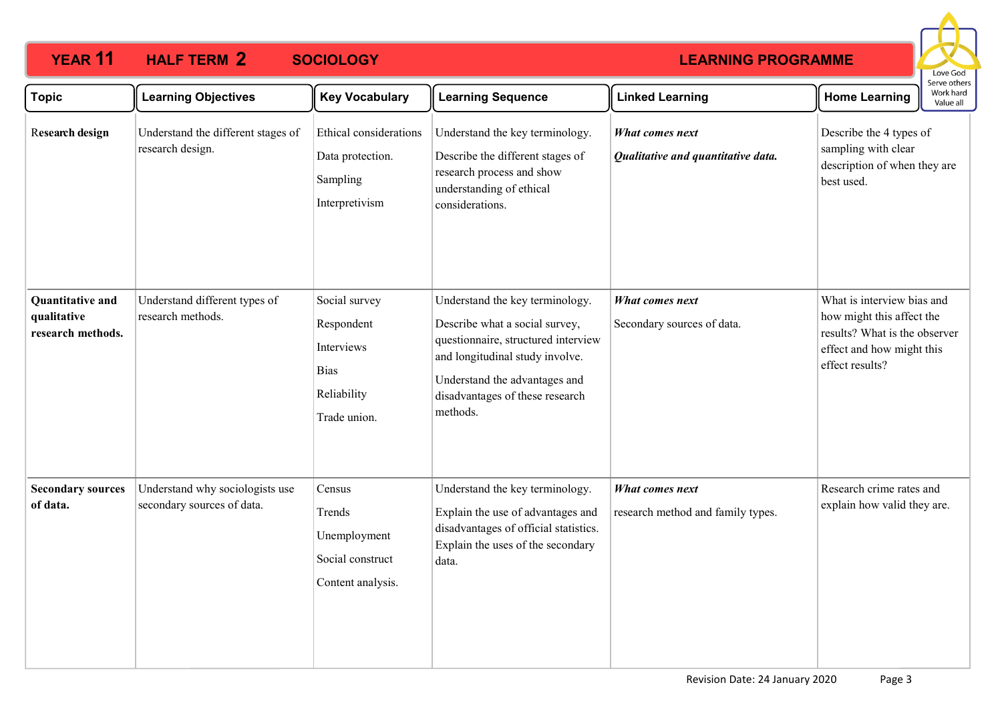

| <b>Topic</b>                                         | <b>Learning Objectives</b>                                    | <b>Key Vocabulary</b>                                                                   | <b>Learning Sequence</b>                                                                                                                                                                                                    | <b>Linked Learning</b>                                       | <b>Home Learning</b>                                                                                                                     | Serve others<br>Work hard<br>Value all |
|------------------------------------------------------|---------------------------------------------------------------|-----------------------------------------------------------------------------------------|-----------------------------------------------------------------------------------------------------------------------------------------------------------------------------------------------------------------------------|--------------------------------------------------------------|------------------------------------------------------------------------------------------------------------------------------------------|----------------------------------------|
| Research design                                      | Understand the different stages of<br>research design.        | Ethical considerations<br>Data protection.<br>Sampling<br>Interpretivism                | Understand the key terminology.<br>Describe the different stages of<br>research process and show<br>understanding of ethical<br>considerations.                                                                             | <b>What comes next</b><br>Qualitative and quantitative data. | Describe the 4 types of<br>sampling with clear<br>description of when they are<br>best used.                                             |                                        |
| Quantitative and<br>qualitative<br>research methods. | Understand different types of<br>research methods.            | Social survey<br>Respondent<br>Interviews<br><b>Bias</b><br>Reliability<br>Trade union. | Understand the key terminology.<br>Describe what a social survey,<br>questionnaire, structured interview<br>and longitudinal study involve.<br>Understand the advantages and<br>disadvantages of these research<br>methods. | What comes next<br>Secondary sources of data.                | What is interview bias and<br>how might this affect the<br>results? What is the observer<br>effect and how might this<br>effect results? |                                        |
| <b>Secondary sources</b><br>of data.                 | Understand why sociologists use<br>secondary sources of data. | Census<br>Trends<br>Unemployment<br>Social construct<br>Content analysis.               | Understand the key terminology.<br>Explain the use of advantages and<br>disadvantages of official statistics.<br>Explain the uses of the secondary<br>data.                                                                 | What comes next<br>research method and family types.         | Research crime rates and<br>explain how valid they are.                                                                                  |                                        |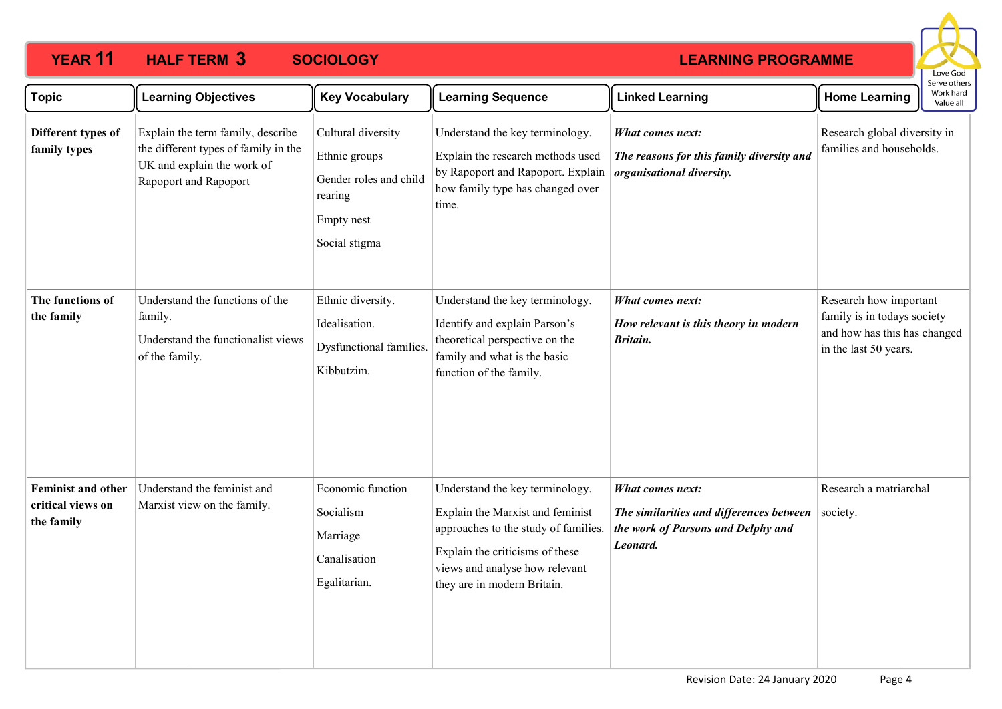

| <b>Topic</b>                                                 | <b>Learning Objectives</b>                                                                                                       | <b>Key Vocabulary</b>                                                                                   | <b>Learning Sequence</b>                                                                                                                                                                                        | <b>Linked Learning</b>                                                                                                | <b>Home Learning</b>                                                                                           | : וסנווכו<br>Work hard<br>Value all |
|--------------------------------------------------------------|----------------------------------------------------------------------------------------------------------------------------------|---------------------------------------------------------------------------------------------------------|-----------------------------------------------------------------------------------------------------------------------------------------------------------------------------------------------------------------|-----------------------------------------------------------------------------------------------------------------------|----------------------------------------------------------------------------------------------------------------|-------------------------------------|
| Different types of<br>family types                           | Explain the term family, describe<br>the different types of family in the<br>UK and explain the work of<br>Rapoport and Rapoport | Cultural diversity<br>Ethnic groups<br>Gender roles and child<br>rearing<br>Empty nest<br>Social stigma | Understand the key terminology.<br>Explain the research methods used<br>by Rapoport and Rapoport. Explain<br>how family type has changed over<br>time.                                                          | <b>What comes next:</b><br>The reasons for this family diversity and<br>organisational diversity.                     | Research global diversity in<br>families and households.                                                       |                                     |
| The functions of<br>the family                               | Understand the functions of the<br>family.<br>Understand the functionalist views<br>of the family.                               | Ethnic diversity.<br>Idealisation.<br>Dysfunctional families.<br>Kibbutzim.                             | Understand the key terminology.<br>Identify and explain Parson's<br>theoretical perspective on the<br>family and what is the basic<br>function of the family.                                                   | <b>What comes next:</b><br>How relevant is this theory in modern<br>Britain.                                          | Research how important<br>family is in todays society<br>and how has this has changed<br>in the last 50 years. |                                     |
| <b>Feminist and other</b><br>critical views on<br>the family | Understand the feminist and<br>Marxist view on the family.                                                                       | Economic function<br>Socialism<br>Marriage<br>Canalisation<br>Egalitarian.                              | Understand the key terminology.<br>Explain the Marxist and feminist<br>approaches to the study of families.<br>Explain the criticisms of these<br>views and analyse how relevant<br>they are in modern Britain. | <b>What comes next:</b><br>The similarities and differences between<br>the work of Parsons and Delphy and<br>Leonard. | Research a matriarchal<br>society.                                                                             |                                     |